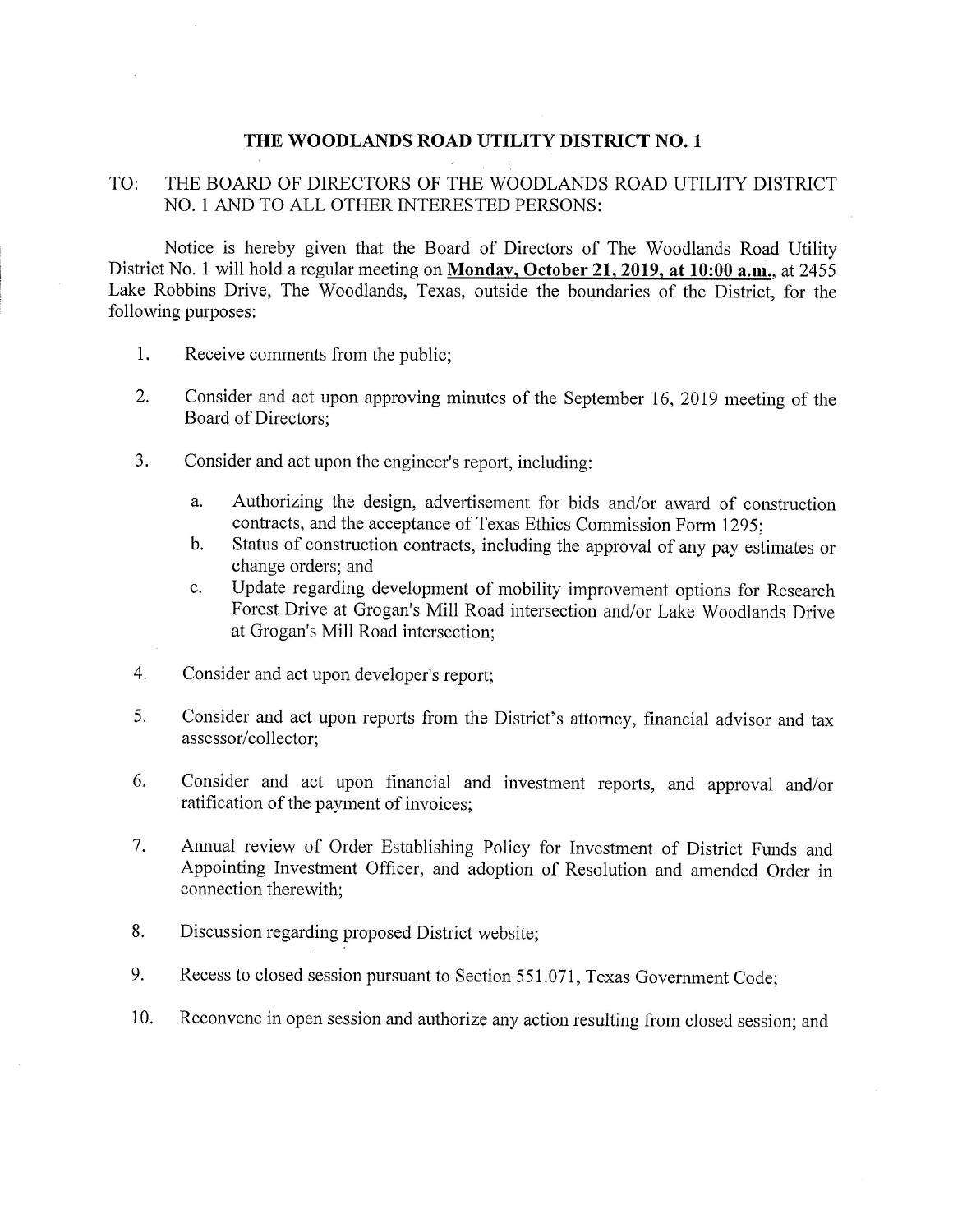## THE WOODLANDS ROAD UTILITY DISTRICT NO. I

## TO: THE BOARD OF DIRECTORS OF THE WOODLANDS ROAD UTILITY DISTRICT NO. <sup>1</sup> AND TO ALL OTHER INTERESTED PERSONS:

Notice is hereby given that the Board of Directors of The Woodlands Road Utility District No. 1 will hold a regular meeting on Monday, October 21, 2019, at 10:00 a.m., at 2455 Lake Robbins Drive, The Woodlands, Texas, outside the boundaries of the District, for the following purposes:

- 1. Receive comments from the public;
- 2, Consider and act upon approving minutes of the September 16, 2019 meeting of the Board of Directors;
- 3. Consider and act upon the engineer's report, including:
	- a. Authorizing the design, advertisement for bids and/or award of construction contracts, and the acceptance of Texas Ethics Commission Form 1295;
	- b. Status of construction contracts, including the approval of any pay estimates or change orders; and
	- Update regarding development of mobility improvement options for Research c. Forest Drive at Grogan's Mill Road intersection and/or Lake Woodlands Drive at Grogan's Mill Road intersection;
- 4. Consider and act upon developer's report;
- 5. Consider and act upon reports from the District's attorney, financial advisor and tax assessor/collector;
- 6. Consider and act upon financial and investment reports, and approval and/or ratification of the payment of invoices;
- 7. Annual review of Order Establishing Policy for Investment of District Funds and Appointing Investment Officer, and adoption of Resolution and amended Order in connection therewith;
- 8, Discussion regarding proposed District website;
- 9. Recess to closed session pursuant to Section 551.071, Texas Government Code;
- 10. Reconvene in open session and authorize any action resulting from closed session; and